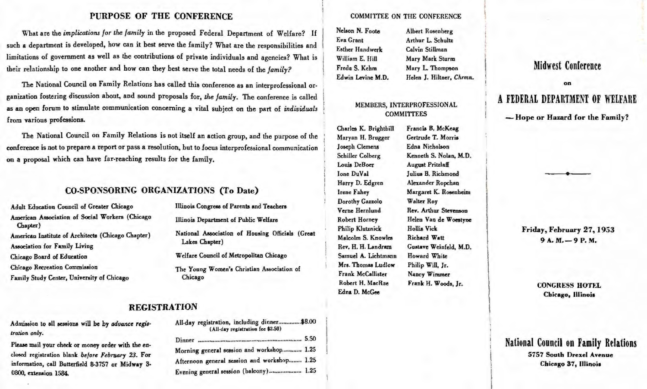## PURPOSE OF THE CONFERENCE

What are the implications for the family in the proposed Federal Department of Welfare? If such a department is developed, how can it best serve the family? What are the responsibilities and limitations of government as well as the contributions of private individuals and agencies? What is their relationship to one another and how can they best serve the total needs of the family?

The National Council on Family Relations has called this conference as an interprofessional organization fostering discussion about, and sound proposals for, the family. The conference is called as an open forum to stimulate communication concerning a vital subject on the part of individuals from various professions.

The National Council on Family Relations is not itself an action group, and the purpose of the conference is not to prepare a report or pass a resolution, but to focus interprofessional communication on a proposal which can have far-reaching results for the family.

# CO-SPONSORING ORGANIZATIONS (To Date)

Adult Education Council of Greater Chicago American Association of Social Workers (Chicago Chapter) American Institute of Architects (Chicago Chapter) Association for Family Living Chicago Board of Education Chicago Recreation Commission Family Study Center, University of Chicago

Illinois Congress of Parents and Teachers

Illinois Department of Public Welfare

National Association of Housing Officials (Great Lakes Chapter)

Welfare Council of Metropolitan Chicago

The Young Women's Christian Association of Chicago

All-day registration, including dinner..............\$8.00

(All-day registration fee \$2.50)

Morning general session and workshop............ 1.25

Afternoon general session and workshop........ 1.25

Evening general session (balcony)..................... 1.25

# **REGISTRATION**

Admission to all sessions will be by advance registration only.

Please mail your check or money order with the enclosed registration blank before February 23. For information, call Butterfield 8-3757 or Midway 3-0800, extension 1584.

## **COMMITTEE ON THE CONFERENCE**

| Nelson N. Foote   | Albert Rosenberg         |
|-------------------|--------------------------|
| <b>Eva Grant</b>  | Arthur L. Schultz        |
| Esther Handwerk   | Calvin Stillman          |
| William E. Hill   | Mary Mark Sturm          |
| Freda S. Kehm     | Mary L. Thompson         |
| Edwin Levine M.D. | Helen J. Hiltner, Chrmn. |

## MEMBERS, INTERPROFESSIONAL **COMMITTEES**

Charles K. Brightbill Maryan H. Brugger **Joseph Clemens** Schiller Colberg Louis DeBoer Ione DuVal Harry D. Edgren **Irene Fahey** Dorothy Gazzolo Verne Hernlund Robert Horney **Philip Klutznick** Malcolm S. Knowles Rev. H. H. Landram Samuel A. Lichtmann Mrs. Thomas Ludlow Frank McCallister Robert H. MacRae Edna D. McGee

Francis B. McKeag Gertrude T. Morris Edna Nicholson Kenneth S. Nolan, M.D. **August Pritzlaff** Julius B. Richmond Alexander Ropchan Margaret K. Rosenheim **Walter Roy** Rev. Arthur Stevenson Helen Van de Woestyne **Hollis Vick** Richard Watt Gustave Weinfeld, M.D. Howard White Philip Will, Jr. Nancy Wimmer Frank H. Woods, Jr.

# **Midwest Conference** on A FEDERAL DEPARTMENT OF WELFARE

-Hope or Hazard for the Family?

Friday, February 27, 1953  $9A. M. - 9P. M.$ 

> **CONGRESS HOTEL** Chicago, Illinois

# National Council on Family Relations 5757 South Drexel Avenue Chicago 37, Illinois